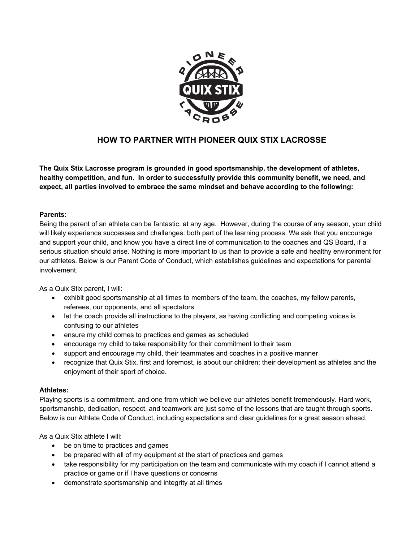

## **HOW TO PARTNER WITH PIONEER QUIX STIX LACROSSE**

**The Quix Stix Lacrosse program is grounded in good sportsmanship, the development of athletes, healthy competition, and fun. In order to successfully provide this community benefit, we need, and expect, all parties involved to embrace the same mindset and behave according to the following:** 

## **Parents:**

Being the parent of an athlete can be fantastic, at any age. However, during the course of any season, your child will likely experience successes and challenges: both part of the learning process. We ask that you encourage and support your child, and know you have a direct line of communication to the coaches and QS Board, if a serious situation should arise. Nothing is more important to us than to provide a safe and healthy environment for our athletes. Below is our Parent Code of Conduct, which establishes guidelines and expectations for parental involvement.

As a Quix Stix parent, I will:

- exhibit good sportsmanship at all times to members of the team, the coaches, my fellow parents, referees, our opponents, and all spectators
- let the coach provide all instructions to the players, as having conflicting and competing voices is confusing to our athletes
- ensure my child comes to practices and games as scheduled
- encourage my child to take responsibility for their commitment to their team
- support and encourage my child, their teammates and coaches in a positive manner
- recognize that Quix Stix, first and foremost, is about our children; their development as athletes and the enjoyment of their sport of choice.

## **Athletes:**

Playing sports is a commitment, and one from which we believe our athletes benefit tremendously. Hard work, sportsmanship, dedication, respect, and teamwork are just some of the lessons that are taught through sports. Below is our Athlete Code of Conduct, including expectations and clear guidelines for a great season ahead.

As a Quix Stix athlete I will:

- be on time to practices and games
- be prepared with all of my equipment at the start of practices and games
- take responsibility for my participation on the team and communicate with my coach if I cannot attend a practice or game or if I have questions or concerns
- demonstrate sportsmanship and integrity at all times